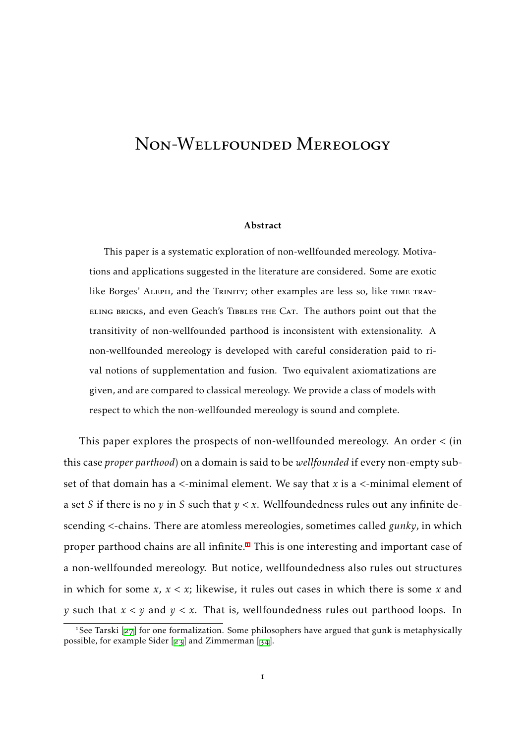# Non-Wellfounded Mereology

#### Abstract

This paper is a systematic exploration of non-wellfounded mereology. Motivations and applications suggested in the literature are considered. Some are exotic like Borges' ALEPH, and the TRINITY; other examples are less so, like TIME TRAVeling bricks, and even Geach's Tibbles the Cat. The authors point out that the transitivity of non-wellfounded parthood is inconsistent with extensionality. A non-wellfounded mereology is developed with careful consideration paid to rival notions of supplementation and fusion. Two equivalent axiomatizations are given, and are compared to classical mereology. We provide a class of models with respect to which the non-wellfounded mereology is sound and complete.

This paper explores the prospects of non-wellfounded mereology. An order *<* (in this case *proper parthood*) on a domain is said to be *wellfounded* if every non-empty subset of that domain has a *<*-minimal element. We say that *x* is a *<*-minimal element of a set *S* if there is no *y* in *S* such that *y < x*. Wellfoundedness rules out any infinite descending *<*-chains. There are atomless mereologies, sometimes called *gunky*, in which proper parthood chains are all infinite.<sup>1</sup> This is one interesting and important case of a non-wellfounded mereology. But notice, wellfoundedness also rules out structures in which for some *x*, *x < x*; likewise, it rules out cases in which there is some *x* and *y* such that *x < y* and *y < x*. That is, wellfoundedness rules out parthood loops. In

<sup>&</sup>lt;sup>1</sup>See Tarski  $[z_7]$  for one formalization. Some philosophers have argued that gunk is metaphysically possible, for example Sider  $[23]$  and Zimmerman  $[34]$ .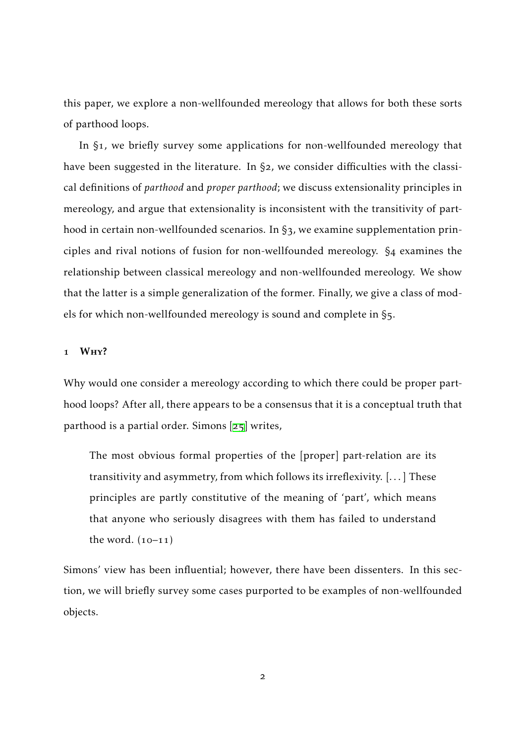this paper, we explore a non-wellfounded mereology that allows for both these sorts of parthood loops.

In  $\S_1$ , we briefly survey some applications for non-wellfounded mereology that have been suggested in the literature. In  $\S$ 2, we consider difficulties with the classical definitions of *parthood* and *proper parthood*; we discuss extensionality principles in mereology, and argue that extensionality is inconsistent with the transitivity of parthood in certain non-wellfounded scenarios. In §3, we examine supplementation principles and rival notions of fusion for non-wellfounded mereology. § examines the relationship between classical mereology and non-wellfounded mereology. We show that the latter is a simple generalization of the former. Finally, we give a class of models for which non-wellfounded mereology is sound and complete in  $\S$ 5.

#### $1$  W<sub>HY</sub>?

Why would one consider a mereology according to which there could be proper parthood loops? After all, there appears to be a consensus that it is a conceptual truth that parthood is a partial order. Simons  $[25]$  writes,

The most obvious formal properties of the [proper] part-relation are its transitivity and asymmetry, fr[om](#page-30-0) which follows its irreflexivity. [. . . ] These principles are partly constitutive of the meaning of 'part', which means that anyone who seriously disagrees with them has failed to understand the word.  $(10-11)$ 

Simons' view has been influential; however, there have been dissenters. In this section, we will briefly survey some cases purported to be examples of non-wellfounded objects.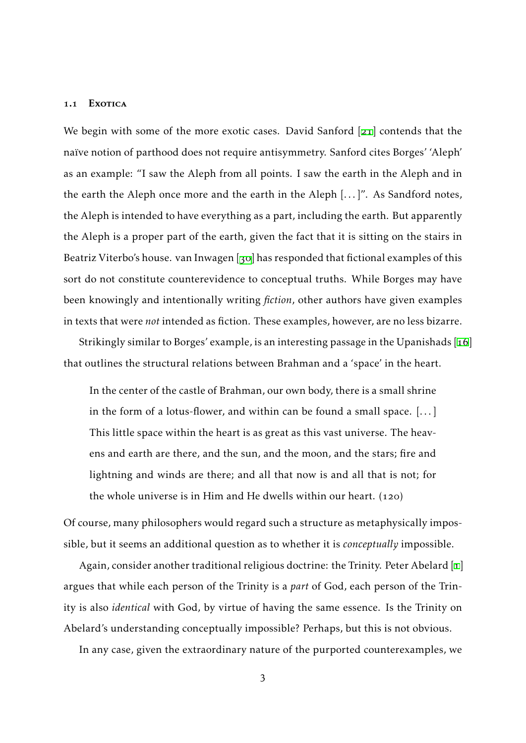#### 1.1 Exotica

We begin with some of the more exotic cases. David Sanford  $[21]$  contends that the naïve notion of parthood does not require antisymmetry. Sanford cites Borges' 'Aleph' as an example: "I saw the Aleph from all points. I saw the eart[h i](#page-30-1)n the Aleph and in the earth the Aleph once more and the earth in the Aleph  $[...]$ ". As Sandford notes, the Aleph is intended to have everything as a part, including the earth. But apparently the Aleph is a proper part of the earth, given the fact that it is sitting on the stairs in Beatriz Viterbo's house. van Inwagen  $\lceil 30 \rceil$  has responded that fictional examples of this sort do not constitute counterevidence to conceptual truths. While Borges may have been knowingly and intentionally wr[itin](#page-30-2)g *fiction*, other authors have given examples in texts that were *not* intended as fiction. These examples, however, are no less bizarre.

Strikingly similar to Borges' example, is an interesting passage in the Upanishads  $[16]$ that outlines the structural relations between Brahman and a 'space' in the heart.

In the center of the castle of Brahman, our own body, there is a small shrine in the form of a lotus-flower, and within can be found a small space.  $[\dots]$ This little space within the heart is as great as this vast universe. The heavens and earth are there, and the sun, and the moon, and the stars; fire and lightning and winds are there; and all that now is and all that is not; for the whole universe is in Him and He dwells within our heart.  $(120)$ 

Of course, many philosophers would regard such a structure as metaphysically impossible, but it seems an additional question as to whether it is *conceptually* impossible.

Again, consider another traditional religious doctrine: the Trinity. Peter Abelard [1] argues that while each person of the Trinity is a *part* of God, each person of the Trinity is also *identical* with God, by virtue of having the same essence. Is the Trinity [on](#page-28-0) Abelard's understanding conceptually impossible? Perhaps, but this is not obvious.

In any case, given the extraordinary nature of the purported counterexamples, we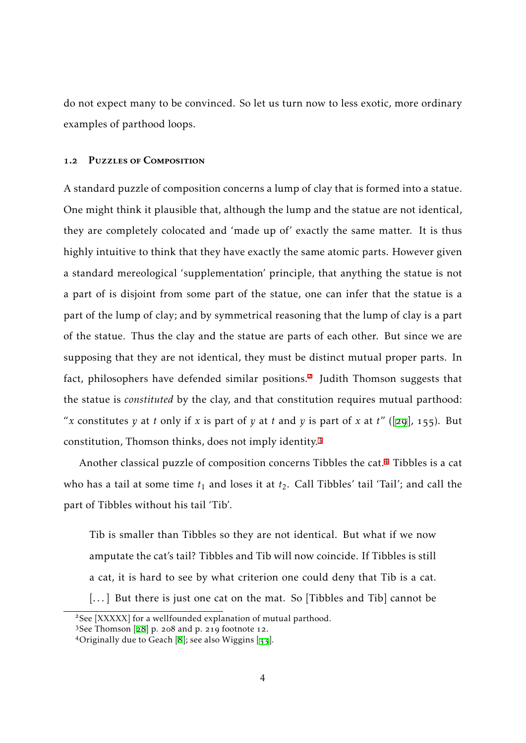do not expect many to be convinced. So let us turn now to less exotic, more ordinary examples of parthood loops.

## 1.2 PUZZLES OF COMPOSITION

A standard puzzle of composition concerns a lump of clay that is formed into a statue. One might think it plausible that, although the lump and the statue are not identical, they are completely colocated and 'made up of' exactly the same matter. It is thus highly intuitive to think that they have exactly the same atomic parts. However given a standard mereological 'supplementation' principle, that anything the statue is not a part of is disjoint from some part of the statue, one can infer that the statue is a part of the lump of clay; and by symmetrical reasoning that the lump of clay is a part of the statue. Thus the clay and the statue are parts of each other. But since we are supposing that they are not identical, they must be distinct mutual proper parts. In fact, philosophers have defended similar positions.<sup>2</sup> Judith Thomson suggests that the statue is *constituted* by the clay, and that constitution requires mutual parthood: "*x* constitutes *y* at *t* only if *x* is part of *y* at *t* and *y* is part of *x* at *t*" ([29], 155). But constitution, Thomson thinks, does not imply identity.

Another classical puzzle of composition concerns [Tib](#page-30-3)bles the cat.<sup>4</sup> Tibbles is a cat who has a tail at some time  $t_1$  and loses it at  $t_2$ . Call Tibbles' tail 'Tail'; and call the part of Tibbles without his tail 'Tib'.

Tib is smaller than Tibbles so they are not identical. But what if we now amputate the cat's tail? Tibbles and Tib will now coincide. If Tibbles is still a cat, it is hard to see by what criterion one could deny that Tib is a cat. [...] But there is just one cat on the mat. So [Tibbles and Tib] cannot be

<sup>&</sup>lt;sup>2</sup>See [XXXXX] for a wellfounded explanation of mutual parthood.

<sup>&</sup>lt;sup>3</sup>See Thomson  $[28]$  p. 208 and p. 219 footnote 12.

<sup>&</sup>lt;sup>4</sup>Originally due to Geach  $[8]$ ; see also Wiggins  $[33]$ .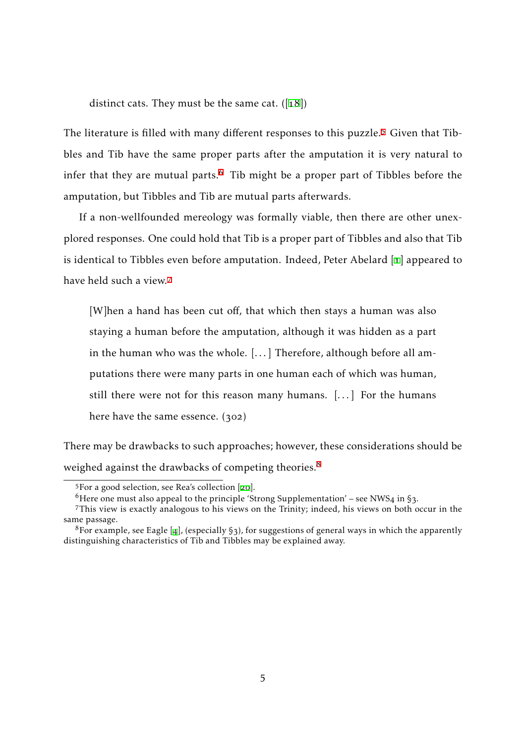distinct cats. They must be the same cat.  $([18])$ 

The literature is filled with many different responses to this puzzle.<sup>5</sup> Given that Tibbles and Tib have the same proper parts after [the](#page-30-4) amputation it is very natural to infer that they are mutual parts.<sup>6</sup> Tib might be a proper part of Tibbles before the amputation, but Tibbles and Tib are mutual parts afterwards.

If a non-wellfounded mereology was formally viable, then there are other unexplored responses. One could hold that Tib is a proper part of Tibbles and also that Tib is identical to Tibbles even before amputation. Indeed, Peter Abelard  $\lceil 1 \rceil$  appeared to have held such a view.

[W]hen a hand has been cut off, that which then stays a human [w](#page-28-0)as also staying a human before the amputation, although it was hidden as a part in the human who was the whole. [. . . ] Therefore, although before all amputations there were many parts in one human each of which was human, still there were not for this reason many humans.  $[...]$  For the humans here have the same essence.  $(302)$ 

There may be drawbacks to such approaches; however, these considerations should be weighed against the drawbacks of competing theories.<sup>8</sup>

 $5$ For a good selection, see Rea's collection [20].

<sup>&</sup>lt;sup>6</sup>Here one must also appeal to the principle 'Strong Supplementation' – see NWS4 in §3.

This view is exactly analogous to his views on the Trinity; indeed, his views on both occur in the same passage.

<sup>&</sup>lt;sup>8</sup> For example, see Eagle [4], (especially §3[\), fo](#page-30-5)r suggestions of general ways in which the apparently distinguishing characteristics of Tib and Tibbles may be explained away.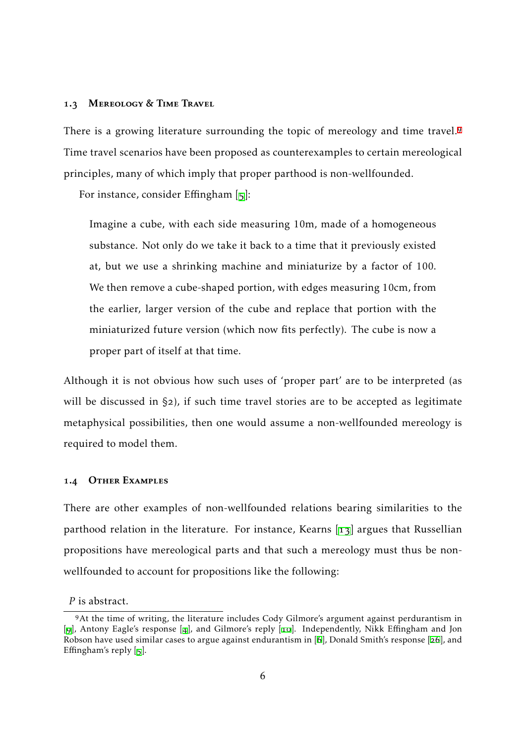#### 1.3 MEREOLOGY & TIME TRAVEL

There is a growing literature surrounding the topic of mereology and time travel.<sup>9</sup> Time travel scenarios have been proposed as counterexamples to certain mereological principles, many of which imply that proper parthood is non-wellfounded.

For instance, consider Effingham  $\lceil 5 \rceil$ :

Imagine a cube, with each side measuring 10m, made of a homogeneous substance. Not only do we take [it](#page-28-1) back to a time that it previously existed at, but we use a shrinking machine and miniaturize by a factor of 100. We then remove a cube-shaped portion, with edges measuring 10cm, from the earlier, larger version of the cube and replace that portion with the miniaturized future version (which now fits perfectly). The cube is now a proper part of itself at that time.

Although it is not obvious how such uses of 'proper part' are to be interpreted (as will be discussed in  $\S$ 2), if such time travel stories are to be accepted as legitimate metaphysical possibilities, then one would assume a non-wellfounded mereology is required to model them.

# 1.4 OTHER EXAMPLES

There are other examples of non-wellfounded relations bearing similarities to the parthood relation in the literature. For instance, Kearns  $\lceil 13 \rceil$  argues that Russellian propositions have mereological parts and that such a mereology must thus be nonwellfounded to account for propositions like the following[:](#page-29-0)

*P* is abstract.

<sup>&</sup>lt;sup>9</sup>At the time of writing, the literature includes Cody Gilmore's argument against perdurantism in [9], Antony Eagle's response [4], and Gilmore's reply [10]. Independently, Nikk Effingham and Jon Robson have used similar cases to argue against endurantism in [6], Donald Smith's response [26], and Effingham's reply  $[5]$ .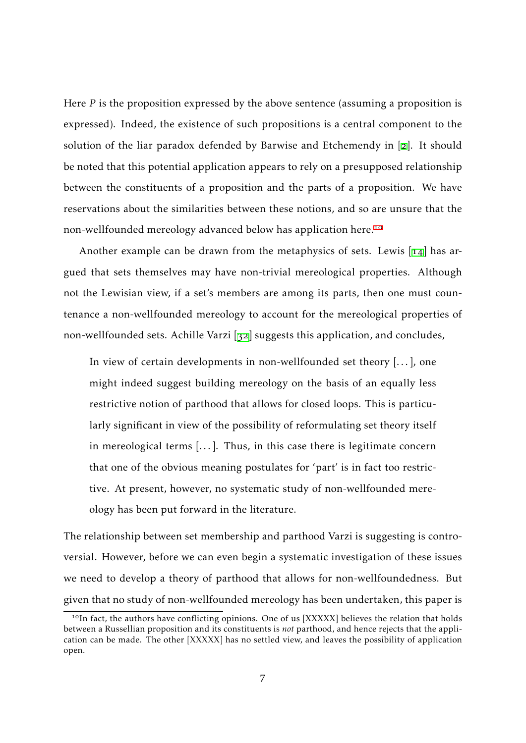Here *P* is the proposition expressed by the above sentence (assuming a proposition is expressed). Indeed, the existence of such propositions is a central component to the solution of the liar paradox defended by Barwise and Etchemendy in  $[2]$ . It should be noted that this potential application appears to rely on a presupposed relationship between the constituents of a proposition and the parts of a propositi[on](#page-28-2). We have reservations about the similarities between these notions, and so are unsure that the non-wellfounded mereology advanced below has application here.

Another example can be drawn from the metaphysics of sets. Lewis  $[14]$  has argued that sets themselves may have non-trivial mereological properties. Although not the Lewisian view, if a set's members are among its parts, then one [mu](#page-29-1)st countenance a non-wellfounded mereology to account for the mereological properties of non-wellfounded sets. Achille Varzi [32] suggests this application, and concludes,

In view of certain developments in non-wellfounded set theory [. . . ], one might indeed suggest building [me](#page-31-0)reology on the basis of an equally less restrictive notion of parthood that allows for closed loops. This is particularly significant in view of the possibility of reformulating set theory itself in mereological terms  $[...]$ . Thus, in this case there is legitimate concern that one of the obvious meaning postulates for 'part' is in fact too restrictive. At present, however, no systematic study of non-wellfounded mereology has been put forward in the literature.

The relationship between set membership and parthood Varzi is suggesting is controversial. However, before we can even begin a systematic investigation of these issues we need to develop a theory of parthood that allows for non-wellfoundedness. But given that no study of non-wellfounded mereology has been undertaken, this paper is

 $10$ In fact, the authors have conflicting opinions. One of us [XXXXX] believes the relation that holds between a Russellian proposition and its constituents is *not* parthood, and hence rejects that the application can be made. The other [XXXXX] has no settled view, and leaves the possibility of application open.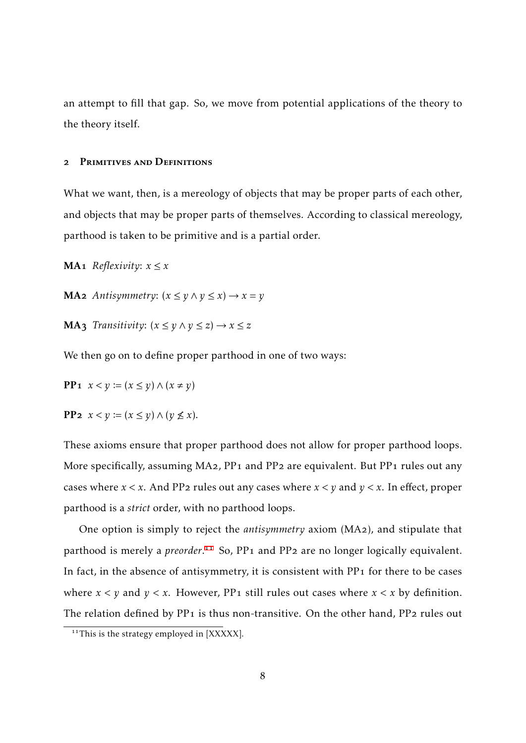an attempt to fill that gap. So, we move from potential applications of the theory to the theory itself.

## 2 PRIMITIVES AND DEFINITIONS

What we want, then, is a mereology of objects that may be proper parts of each other, and objects that may be proper parts of themselves. According to classical mereology, parthood is taken to be primitive and is a partial order.

**MA**<sub>1</sub> *Reflexivity*:  $x \leq x$ 

**MA2** Antisymmetry:  $(x \le y \land y \le x) \rightarrow x = y$ 

**MA**<sub>3</sub> Transitivity:  $(x \leq y \land y \leq z) \rightarrow x \leq z$ 

We then go on to define proper parthood in one of two ways:

**PP**<sub>1</sub>  $x < y := (x ≤ y) ∧ (x ≠ y)$ 

**PP2**  $x < y := (x ≤ y) ∧ (y ≤ x).$ 

These axioms ensure that proper parthood does not allow for proper parthood loops. More specifically, assuming MA2, PP1 and PP2 are equivalent. But PP1 rules out any cases where  $x < x$ . And PP2 rules out any cases where  $x < y$  and  $y < x$ . In effect, proper parthood is a *strict* order, with no parthood loops.

One option is simply to reject the *antisymmetry* axiom (MA<sub>2</sub>), and stipulate that parthood is merely a *preorder*.<sup>11</sup> So, PP1 and PP2 are no longer logically equivalent. In fact, in the absence of antisymmetry, it is consistent with  $PP<sub>1</sub>$  for there to be cases where  $x < y$  and  $y < x$ . However, PP1 still rules out cases where  $x < x$  by definition. The relation defined by PP1 is thus non-transitive. On the other hand, PP2 rules out

 $11$ <sup>This</sup> is the strategy employed in [XXXXX].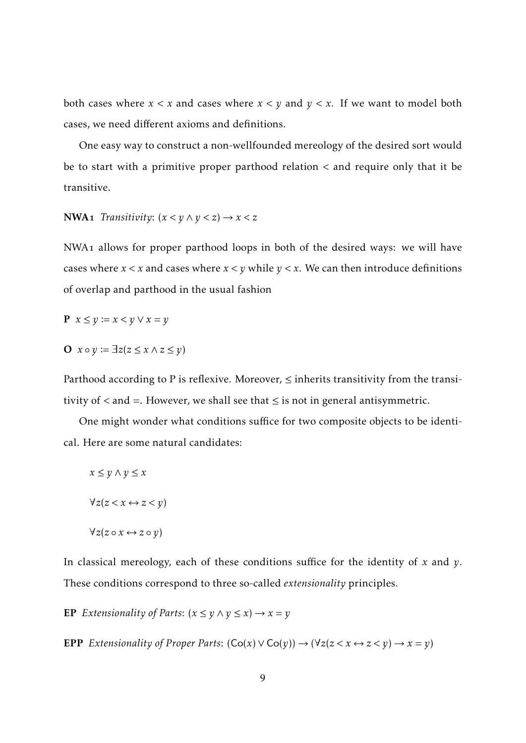both cases where  $x < x$  and cases where  $x < y$  and  $y < x$ . If we want to model both cases, we need different axioms and definitions.

One easy way to construct a non-wellfounded mereology of the desired sort would be to start with a primitive proper parthood relation *<* and require only that it be transitive.

# **NWA**<sub>1</sub> *Transitivity*:  $(x < y \land y < z) \rightarrow x < z$

NWA<sub>1</sub> allows for proper parthood loops in both of the desired ways: we will have cases where  $x < x$  and cases where  $x < y$  while  $y < x$ . We can then introduce definitions of overlap and parthood in the usual fashion

$$
\mathbf{P} \ \ x \le y := x < y \lor x = y
$$

$$
\mathbf{O} \ \ x \circ y := \exists z (z \le x \land z \le y)
$$

Parthood according to P is reflexive. Moreover,  $\leq$  inherits transitivity from the transitivity of  $\leq$  and  $=$ . However, we shall see that  $\leq$  is not in general antisymmetric.

One might wonder what conditions suffice for two composite objects to be identical. Here are some natural candidates:

$$
x \le y \land y \le x
$$
  
\n
$$
\forall z(z < x \leftrightarrow z < y)
$$
  
\n
$$
\forall z(z \circ x \leftrightarrow z \circ y)
$$

In classical mereology, each of these conditions suffice for the identity of *x* and *y*. These conditions correspond to three so-called *extensionality* principles.

EP *Extensionality of Parts:*  $(x \le y \land y \le x) \to x = y$ 

EPP *Extensionality of Proper Parts:*  $(Co(x) \vee Co(y)) \rightarrow (\forall z(z < x \leftrightarrow z < y) \rightarrow x = y)$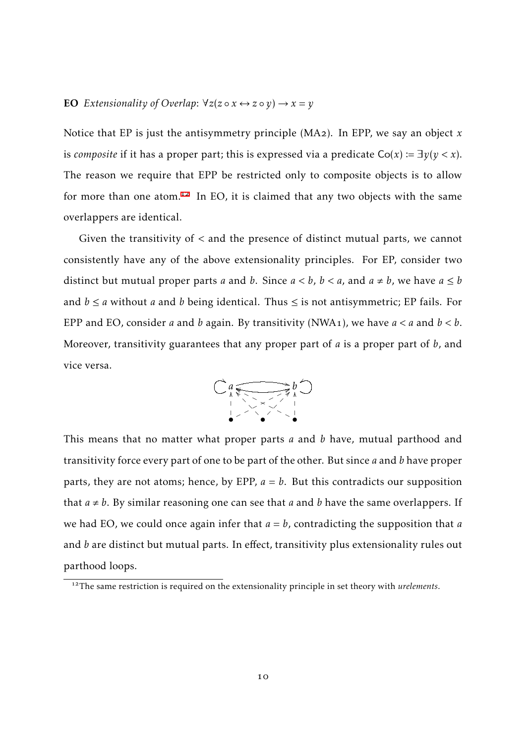# EO *Extensionality of Overlap:*  $\forall z(z \circ x \leftrightarrow z \circ y) \rightarrow x = y$

Notice that EP is just the antisymmetry principle (MA2). In EPP, we say an object *x* is *composite* if it has a proper part; this is expressed via a predicate  $Co(x) := \exists y (y < x)$ . The reason we require that EPP be restricted only to composite objects is to allow for more than one atom.<sup>12</sup> In EO, it is claimed that any two objects with the same overlappers are identical.

Given the transitivity of *<* and the presence of distinct mutual parts, we cannot consistently have any of the above extensionality principles. For EP, consider two distinct but mutual proper parts *a* and *b*. Since  $a < b$ ,  $b < a$ , and  $a \neq b$ , we have  $a \leq b$ and  $b \le a$  without *a* and *b* being identical. Thus  $\le$  is not antisymmetric; EP fails. For EPP and EO, consider *a* and *b* again. By transitivity (NWA1), we have  $a < a$  and  $b < b$ . Moreover, transitivity guarantees that any proper part of *a* is a proper part of *b*, and vice versa.



This means that no matter what proper parts *a* and *b* have, mutual parthood and transitivity force every part of one to be part of the other. But since *a* and *b* have proper parts, they are not atoms; hence, by EPP,  $a = b$ . But this contradicts our supposition that  $a \neq b$ . By similar reasoning one can see that *a* and *b* have the same overlappers. If we had EO, we could once again infer that  $a = b$ , contradicting the supposition that  $a$ and *b* are distinct but mutual parts. In effect, transitivity plus extensionality rules out parthood loops.

<sup>&</sup>lt;sup>12</sup>The same restriction is required on the extensionality principle in set theory with *urelements*.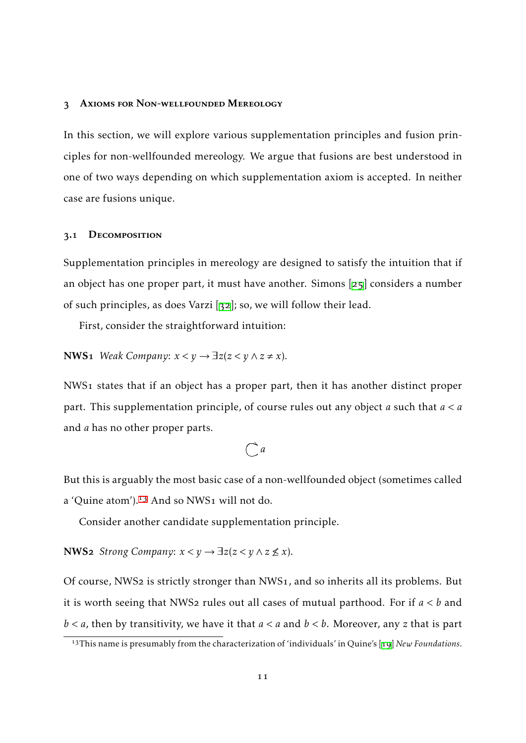#### Axioms for Non-wellfounded Mereology

In this section, we will explore various supplementation principles and fusion principles for non-wellfounded mereology. We argue that fusions are best understood in one of two ways depending on which supplementation axiom is accepted. In neither case are fusions unique.

#### 3.1 DECOMPOSITION

Supplementation principles in mereology are designed to satisfy the intuition that if an object has one proper part, it must have another. Simons  $[z_5]$  considers a number of such principles, as does Varzi  $[32]$ ; so, we will follow their lead.

First, consider the straightforward intuition:

**NWS1** Weak Company:  $x < y \rightarrow \exists z (z < y \land z \neq x)$  $x < y \rightarrow \exists z (z < y \land z \neq x)$  $x < y \rightarrow \exists z (z < y \land z \neq x)$ .

NWS<sub>1</sub> states that if an object has a proper part, then it has another distinct proper part. This supplementation principle, of course rules out any object *a* such that *a < a* and *a* has no other proper parts.

*a* %

But this is arguably the most basic case of a non-wellfounded object (sometimes called a 'Quine atom').<sup>13</sup> And so NWS1 will not do.

Consider another candidate supplementation principle.

**NWS2** Strong Company:  $x < y \rightarrow \exists z (z < y \land z \leq x)$ .

Of course, NWS2 is strictly stronger than NWS1, and so inherits all its problems. But it is worth seeing that NWS<sub>2</sub> rules out all cases of mutual parthood. For if  $a < b$  and *b < a*, then by transitivity, we have it that *a < a* and *b < b*. Moreover, any *z* that is part

<sup>&</sup>lt;sup>13</sup>This name is presumably from the characterization of 'individuals' in Quine's [19] *New Foundations*.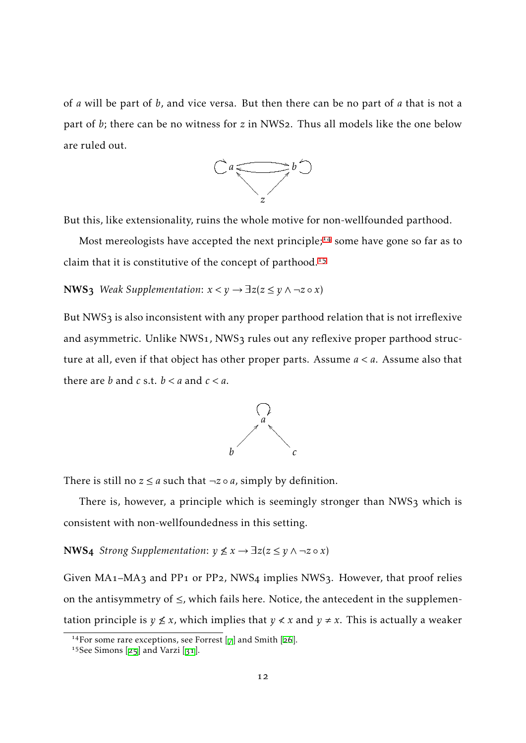of *a* will be part of *b*, and vice versa. But then there can be no part of *a* that is not a part of *b*; there can be no witness for *z* in NWS2. Thus all models like the one below are ruled out.



But this, like extensionality, ruins the whole motive for non-wellfounded parthood.

Most mereologists have accepted the next principle; $14$  some have gone so far as to claim that it is constitutive of the concept of parthood.

**NWS**<sub>3</sub> Weak Supplementation:  $x < y \rightarrow \exists z (z \leq y \land \neg z \circ x)$ 

But NWS3 is also inconsistent with any proper parthood relation that is not irreflexive and asymmetric. Unlike NWS1, NWS3 rules out any reflexive proper parthood structure at all, even if that object has other proper parts. Assume *a < a*. Assume also that there are *b* and *c* s.t.  $b < a$  and  $c < a$ .



There is still no  $z \le a$  such that  $\neg z \circ a$ , simply by definition.

There is, however, a principle which is seemingly stronger than NWS3 which is consistent with non-wellfoundedness in this setting.

**NWS4** Strong Supplementation:  $y \nleq x \rightarrow \exists z (z \leq y \land \neg z \circ x)$ 

Given  $MA_1-MA_3$  and PP1 or PP2, NWS4 implies NWS3. However, that proof relies on the antisymmetry of ≤, which fails here. Notice, the antecedent in the supplementation principle is  $y \not\leq x$ , which implies that  $y \not\lessdot x$  and  $y \not= x$ . This is actually a weaker

<sup>&</sup>lt;sup>14</sup> For some rare exceptions, see Forrest  $[7]$  and Smith [26].

<sup>&</sup>lt;sup>15</sup>See Simons  $[25]$  and Varzi  $[31]$ .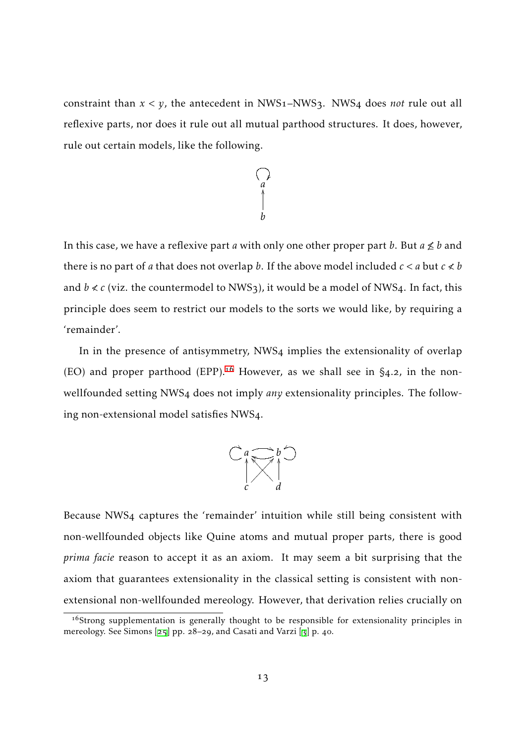constraint than  $x < y$ , the antecedent in NWS<sub>1</sub>–NWS<sub>3</sub>. NWS<sub>4</sub> does *not* rule out all reflexive parts, nor does it rule out all mutual parthood structures. It does, however, rule out certain models, like the following.



In this case, we have a reflexive part *a* with only one other proper part *b*. But  $a \not\leq b$  and there is no part of *a* that does not overlap *b*. If the above model included  $c < a$  but  $c < b$ and  $b \nless c$  (viz. the countermodel to NWS3), it would be a model of NWS4. In fact, this principle does seem to restrict our models to the sorts we would like, by requiring a 'remainder'.

In in the presence of antisymmetry, NWS4 implies the extensionality of overlap (EO) and proper parthood (EPP).<sup>16</sup> However, as we shall see in  $\S$ 4.2, in the nonwellfounded setting NWS4 does not imply *any* extensionality principles. The following non-extensional model satisfies NWS4.



Because NWS4 captures the 'remainder' intuition while still being consistent with non-wellfounded objects like Quine atoms and mutual proper parts, there is good *prima facie* reason to accept it as an axiom. It may seem a bit surprising that the axiom that guarantees extensionality in the classical setting is consistent with nonextensional non-wellfounded mereology. However, that derivation relies crucially on

<sup>&</sup>lt;sup>16</sup>Strong supplementation is generally thought to be responsible for extensionality principles in mereology. See Simons  $[25]$  pp. 28–29, and Casati and Varzi  $[3]$  p. 40.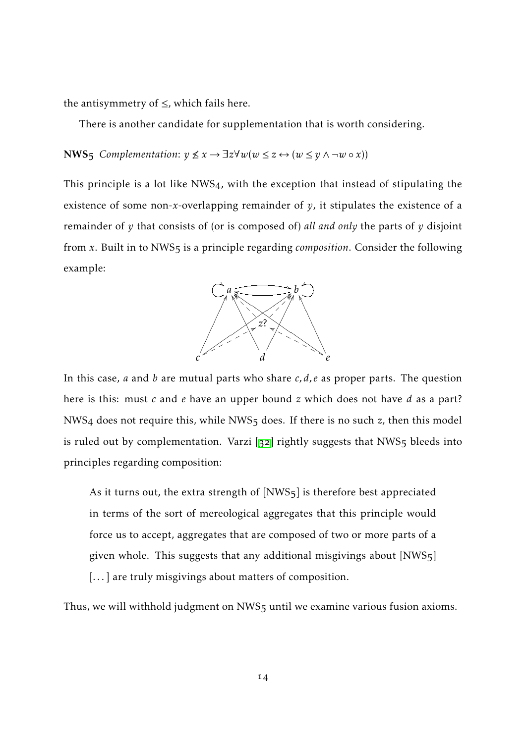the antisymmetry of  $\leq$ , which fails here.

There is another candidate for supplementation that is worth considering.

# **NWS**5 Complementation:  $y \nleq x \rightarrow \exists z \forall w (w \leq z \leftrightarrow (w \leq y \land \neg w \circ x))$

This principle is a lot like  $NWS<sub>4</sub>$ , with the exception that instead of stipulating the existence of some non-*x*-overlapping remainder of *y*, it stipulates the existence of a remainder of *y* that consists of (or is composed of) *all and only* the parts of *y* disjoint from *x*. Built in to NWS<sub>5</sub> is a principle regarding *composition*. Consider the following example:



In this case, *a* and *b* are mutual parts who share *c, d, e* as proper parts. The question here is this: must *c* and *e* have an upper bound *z* which does not have *d* as a part? NWS4 does not require this, while NWS<sub>5</sub> does. If there is no such *z*, then this model is ruled out by complementation. Varzi  $[32]$  rightly suggests that NWS $_5$  bleeds into principles regarding composition:

As it turns out, the extra strength of  $[NWS<sub>5</sub>]$  is therefore best appreciated in terms of the sort of mereological aggregates that this principle would force us to accept, aggregates that are composed of two or more parts of a given whole. This suggests that any additional misgivings about  $[NWS_5]$ [...] are truly misgivings about matters of composition.

Thus, we will withhold judgment on NWS<sub>5</sub> until we examine various fusion axioms.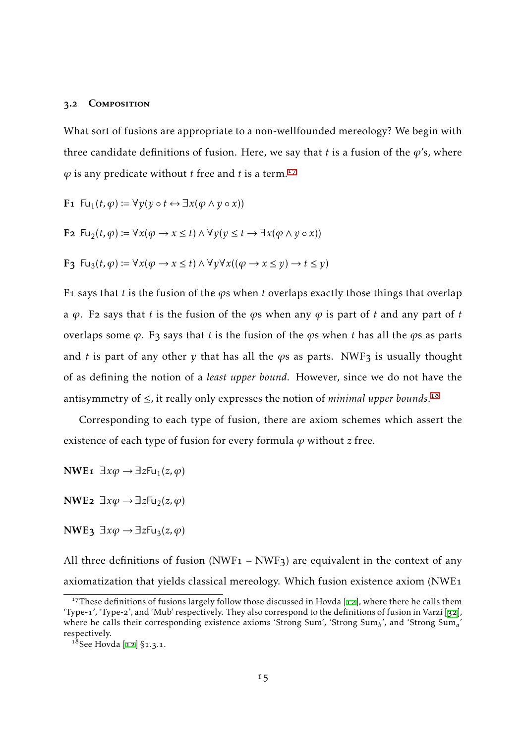#### 3.2 COMPOSITION

What sort of fusions are appropriate to a non-wellfounded mereology? We begin with three candidate definitions of fusion. Here, we say that *t* is a fusion of the  $\varphi$ 's, where *φ* is any predicate without *t* free and *t* is a term.

$$
\mathbf{F1}\ \mathbf{Fu}_1(t,\varphi) \coloneqq \forall y(y \circ t \leftrightarrow \exists x (\varphi \land y \circ x))
$$

**F2** 
$$
Fu_2(t, \varphi) := \forall x(\varphi \to x \le t) \land \forall y(y \le t \to \exists x(\varphi \land y \circ x))
$$

$$
\mathbf{F}_3 \ \ \mathsf{Fu}_3(t, \varphi) \coloneqq \forall x (\varphi \to x \le t) \land \forall y \forall x ((\varphi \to x \le y) \to t \le y)
$$

F<sub>1</sub> says that *t* is the fusion of the  $\varphi$ s when *t* overlaps exactly those things that overlap a  $\varphi$ . F2 says that *t* is the fusion of the  $\varphi$ s when any  $\varphi$  is part of *t* and any part of *t* overlaps some  $\varphi$ . F<sub>3</sub> says that *t* is the fusion of the  $\varphi$ s when *t* has all the  $\varphi$ s as parts and *t* is part of any other *y* that has all the  $\varphi$ s as parts. NWF3 is usually thought of as defining the notion of a *least upper bound*. However, since we do not have the antisymmetry of ≤, it really only expresses the notion of *minimal upper bounds*.

Corresponding to each type of fusion, there are axiom schemes which assert the existence of each type of fusion for every formula *φ* without *z* free.

$$
NWE1 \exists x \varphi \rightarrow \exists z \mathsf{Fu}_1(z, \varphi)
$$

 $NWE2 \exists x \varphi \rightarrow \exists z \text{Fu}_2(z, \varphi)$ 

 $NWE_3 \exists x \varphi \rightarrow \exists z \text{Fu}_3(z, \varphi)$ 

All three definitions of fusion (NWF<sub>1</sub> – NWF<sub>3</sub>) are equivalent in the context of any axiomatization that yields classical mereology. Which fusion existence axiom (NWE

<sup>&</sup>lt;sup>17</sup>These definitions of fusions largely follow those discussed in Hovda  $[12]$ , where there he calls them 'Type-1', 'Type-2', and 'Mub' respectively. They also correspond to the definitions of fusion in Varzi  $[32]$ , where he calls their corresponding existence axioms 'Strong Sum', 'Strong Sum*<sup>b</sup>* ', and 'Strong Sum*<sup>a</sup>* ' respectively.

 $18$ See Hovda [12]  $\S$ 1.3.1.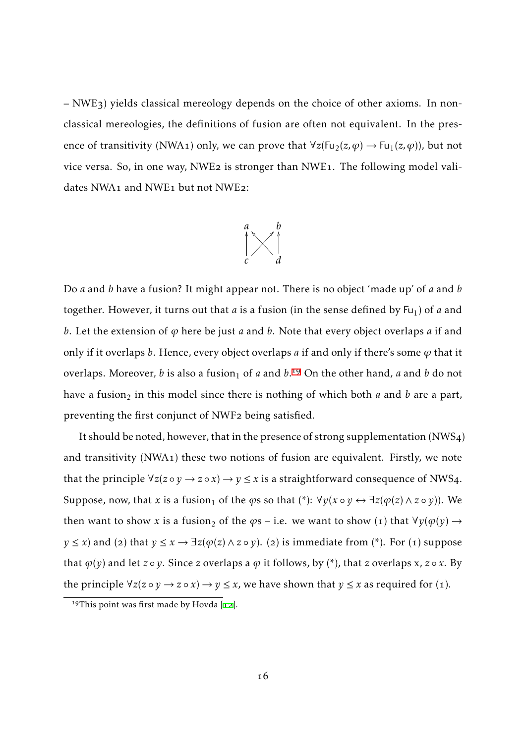$– NWE<sub>3</sub>$ ) yields classical mereology depends on the choice of other axioms. In nonclassical mereologies, the definitions of fusion are often not equivalent. In the presence of transitivity (NWA1) only, we can prove that  $\forall z (Fu_2(z, \varphi) \rightarrow Fu_1(z, \varphi))$ , but not vice versa. So, in one way, NWE2 is stronger than NWE1. The following model validates NWA<sub>1</sub> and NWE<sub>1</sub> but not NWE<sub>2</sub>:



Do *a* and *b* have a fusion? It might appear not. There is no object 'made up' of *a* and *b* together. However, it turns out that *a* is a fusion (in the sense defined by Fu<sub>1</sub>) of *a* and *b*. Let the extension of *φ* here be just *a* and *b*. Note that every object overlaps *a* if and only if it overlaps *b*. Hence, every object overlaps *a* if and only if there's some *φ* that it overlaps. Moreover, *b* is also a fusion<sub>1</sub> of *a* and *b*.<sup>19</sup> On the other hand, *a* and *b* do not have a fusion<sub>2</sub> in this model since there is nothing of which both *a* and *b* are a part, preventing the first conjunct of NWF2 being satisfied.

It should be noted, however, that in the presence of strong supplementation (NWS4) and transitivity ( $NWA_1$ ) these two notions of fusion are equivalent. Firstly, we note that the principle  $\forall z(z \circ y \to z \circ x) \to y \leq x$  is a straightforward consequence of NWS4. Suppose, now, that *x* is a fusion<sub>1</sub> of the  $\varphi$ s so that (\*):  $\forall y (x \circ y \leftrightarrow \exists z (\varphi(z) \land z \circ y))$ . We then want to show *x* is a fusion<sub>2</sub> of the  $\varphi$ s – i.e. we want to show (1) that  $\forall y(\varphi(y) \rightarrow$ *y* ≤ *x*) and (2) that *y* ≤ *x* → ∃*z*( $\varphi$ (*z*) ∧ *z* ◦ *y*). (2) is immediate from (\*). For (1) suppose that  $\varphi(y)$  and let  $z \circ y$ . Since *z* overlaps a  $\varphi$  it follows, by (\*), that *z* overlaps x,  $z \circ x$ . By the principle  $\forall z(z \circ y \to z \circ x) \to y \leq x$ , we have shown that  $y \leq x$  as required for (1).

<sup>&</sup>lt;sup>19</sup>This point was first made by Hovda  $[12]$ .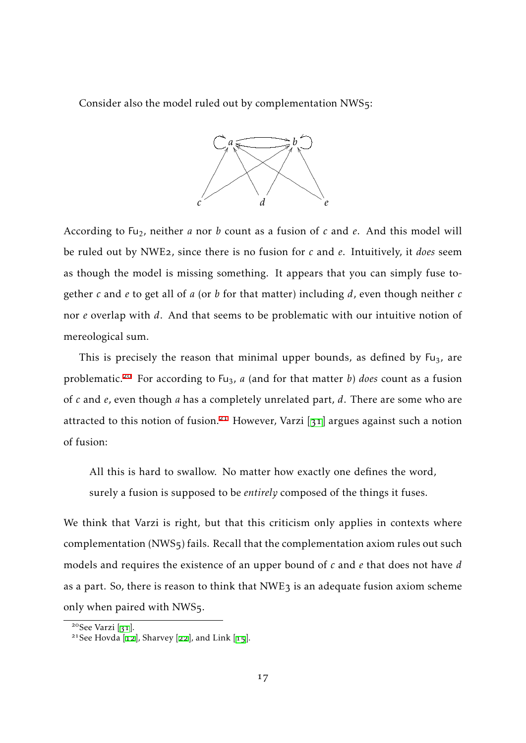Consider also the model ruled out by complementation NWS:



According to Fu<sub>2</sub>, neither *a* nor *b* count as a fusion of *c* and *e*. And this model will be ruled out by NWE, since there is no fusion for *c* and *e*. Intuitively, it *does* seem as though the model is missing something. It appears that you can simply fuse together *c* and *e* to get all of *a* (or *b* for that matter) including *d*, even though neither *c* nor *e* overlap with *d*. And that seems to be problematic with our intuitive notion of mereological sum.

This is precisely the reason that minimal upper bounds, as defined by Fu<sub>3</sub>, are problematic.<sup>20</sup> For according to Fu<sub>3</sub>, *a* (and for that matter *b*) *does* count as a fusion of *c* and *e*, even though *a* has a completely unrelated part, *d*. There are some who are attracted to this notion of fusion.<sup>21</sup> However, Varzi [31] argues against such a notion of fusion:

All this is hard to swallow. No matter how ex[actl](#page-31-1)y one defines the word, surely a fusion is supposed to be *entirely* composed of the things it fuses.

We think that Varzi is right, but that this criticism only applies in contexts where complementation (NWS<sub>5</sub>) fails. Recall that the complementation axiom rules out such models and requires the existence of an upper bound of *c* and *e* that does not have *d* as a part. So, there is reason to think that  $NWE_3$  is an adequate fusion axiom scheme only when paired with NWS5.

 $20$ See Varzi [31].

<sup>&</sup>lt;sup>21</sup>See Hovda [12], Sharvey [22], and Link [15].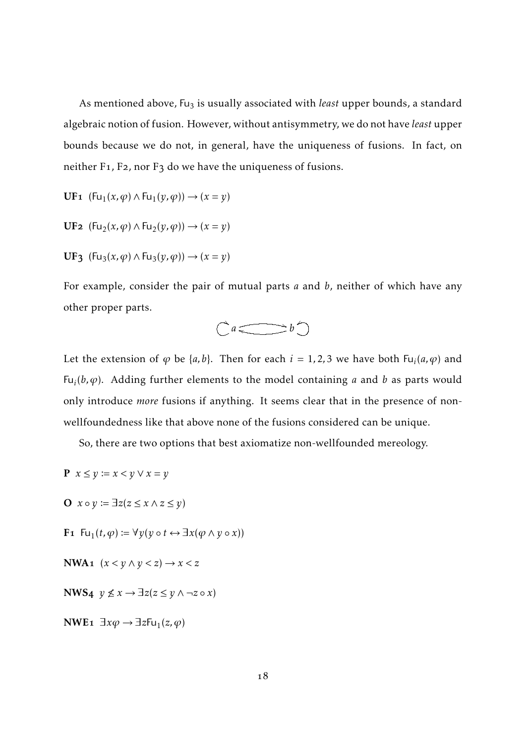As mentioned above, Fu<sub>3</sub> is usually associated with *least* upper bounds, a standard algebraic notion of fusion. However, without antisymmetry, we do not have *least* upper bounds because we do not, in general, have the uniqueness of fusions. In fact, on neither F<sub>1</sub>, F<sub>2</sub>, nor F<sub>3</sub> do we have the uniqueness of fusions.

**UF1** 
$$
(Fu_1(x, \varphi) \wedge Fu_1(y, \varphi)) \rightarrow (x = y)
$$

**UF2** 
$$
(Fu_2(x, \varphi) \wedge Fu_2(y, \varphi)) \rightarrow (x = y)
$$

**UF3** 
$$
(Fu_3(x, \varphi) \wedge Fu_3(y, \varphi)) \rightarrow (x = y)
$$

For example, consider the pair of mutual parts *a* and *b*, neither of which have any other proper parts.



Let the extension of  $\varphi$  be  $\{a,b\}$ . Then for each  $i = 1, 2, 3$  we have both  $Fu_i(a, \varphi)$  and Fu<sub>i</sub>( $b, \varphi$ ). Adding further elements to the model containing *a* and *b* as parts would only introduce *more* fusions if anything. It seems clear that in the presence of nonwellfoundedness like that above none of the fusions considered can be unique.

So, there are two options that best axiomatize non-wellfounded mereology.

$$
\begin{aligned}\n\mathbf{P} \quad &x \leq y := x < y \lor x = y \\
\mathbf{O} \quad &x \circ y := \exists z (z \leq x \land z \leq y) \\
\mathbf{F_1} \quad & \text{Fu}_1(t, \varphi) := \forall y (y \circ t \leftrightarrow \exists x (\varphi \land y \circ x)) \\
\mathbf{NWA_1} \quad &(x < y \land y < z) \to x < z \\
\mathbf{NWS_4} \quad &y \leq x \to \exists z (z \leq y \land \neg z \circ x)\n\end{aligned}
$$

**NWE**1  $\exists x \varphi \rightarrow \exists z \text{Fu}_1(z, \varphi)$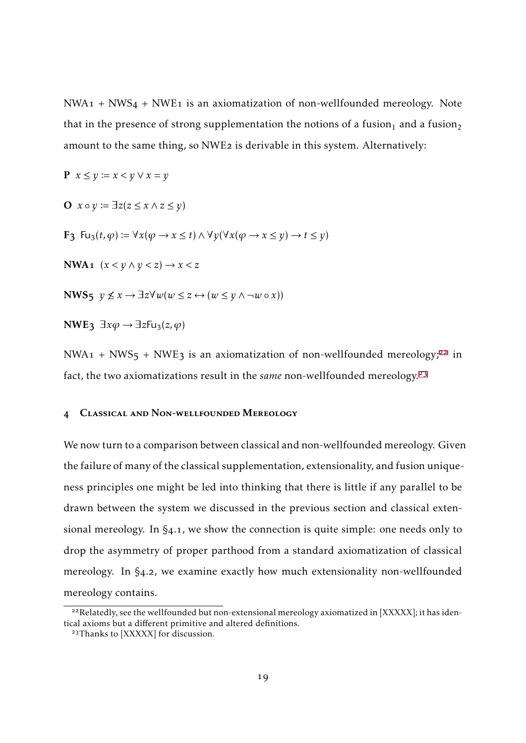$NWA<sub>1</sub> + NWS<sub>4</sub> + NWE<sub>1</sub>$  is an axiomatization of non-wellfounded mereology. Note that in the presence of strong supplementation the notions of a fusion<sub>1</sub> and a fusion<sub>2</sub> amount to the same thing, so NWE2 is derivable in this system. Alternatively:

 $P \ x \leq y := x < y \lor x = y$ O  $x \circ y := \exists z (z \leq x \land z \leq y)$  $\textbf{F}_3 \text{ Fu}_3(t, \varphi) \coloneqq \forall x (\varphi \to x \leq t) \land \forall y (\forall x (\varphi \to x \leq y) \to t \leq y)$ NWA1  $(x < y \land y < z) \rightarrow x < z$  $\text{NWS}_5 \, y \not\leq x \rightarrow \exists z \forall w (w \leq z \leftrightarrow (w \leq y \land \neg w \circ x))$ 

 $NWE_3 \exists x \varphi \rightarrow \exists z \text{Fu}_3(z, \varphi)$ 

 $NWA_1 + NWS_5 + NWE_3$  is an axiomatization of non-wellfounded mereology;<sup>22</sup> in fact, the two axiomatizations result in the *same* non-wellfounded mereology.

# Classical and Non-wellfounded Mereology

We now turn to a comparison between classical and non-wellfounded mereology. Given the failure of many of the classical supplementation, extensionality, and fusion uniqueness principles one might be led into thinking that there is little if any parallel to be drawn between the system we discussed in the previous section and classical extensional mereology. In  $\S$ 4.1, we show the connection is quite simple: one needs only to drop the asymmetry of proper parthood from a standard axiomatization of classical mereology. In §4.2, we examine exactly how much extensionality non-wellfounded mereology contains.

<sup>&</sup>lt;sup>22</sup>Relatedly, see the wellfounded but non-extensional mereology axiomatized in [XXXXX]; it has identical axioms but a different primitive and altered definitions.

<sup>&</sup>lt;sup>23</sup>Thanks to [XXXXX] for discussion.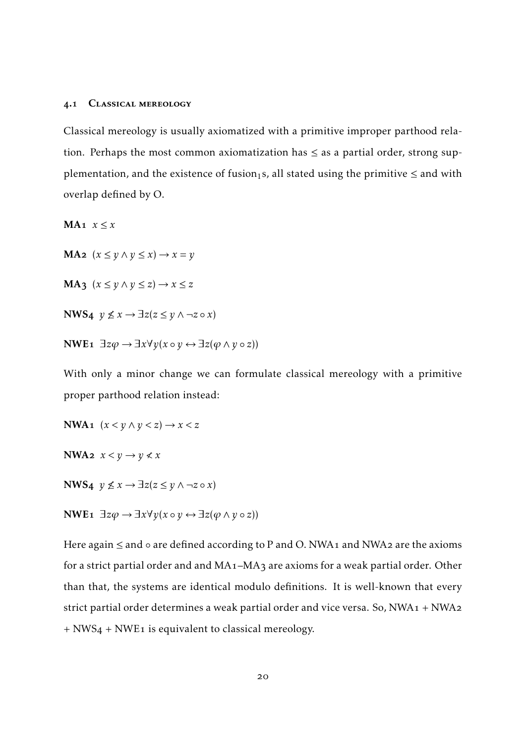#### . Classical mereology

MA<sub>1</sub>  $x < x$ 

Classical mereology is usually axiomatized with a primitive improper parthood relation. Perhaps the most common axiomatization has  $\leq$  as a partial order, strong supplementation, and the existence of fusion<sub>1</sub>s, all stated using the primitive  $\leq$  and with overlap defined by O.

MA2  $(x \le y \land y \le x) \rightarrow x = y$ MA<sub>3</sub>  $(x \leq y \land y \leq z) \rightarrow x \leq z$  $\textbf{NWS}_4 \, y \not\leq x \rightarrow \exists z (z \leq y \land \neg z \circ x)$ NWE1  $\exists z \varphi \rightarrow \exists x \forall y (x \circ \psi \leftrightarrow \exists z (\varphi \land \psi \circ z))$ 

With only a minor change we can formulate classical mereology with a primitive proper parthood relation instead:

```
NWA1 (x < y \land y < z) \rightarrow x < z
```
NWA2  $x < y \rightarrow y \nless x$ 

 $NWS_4$   $y \nleq x \rightarrow \exists z (z \leq y \land \neg z \circ x)$ 

NWE1  $\exists z \varphi \rightarrow \exists x \forall y (x \circ y \leftrightarrow \exists z (\varphi \land y \circ z))$ 

Here again ≤ and ∘ are defined according to P and O. NWA1 and NWA2 are the axioms for a strict partial order and and MA<sub>1</sub>-MA<sub>3</sub> are axioms for a weak partial order. Other than that, the systems are identical modulo definitions. It is well-known that every strict partial order determines a weak partial order and vice versa. So, NWA1 + NWA2  $+$  NWS<sub>4</sub>  $+$  NWE<sub>1</sub> is equivalent to classical mereology.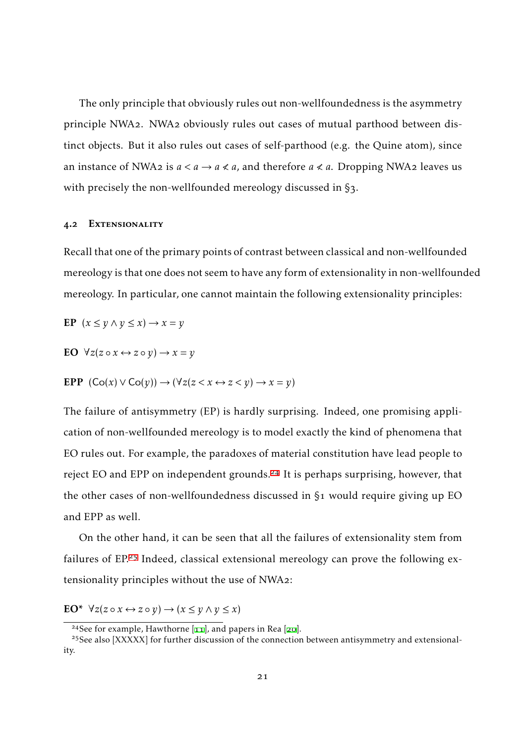The only principle that obviously rules out non-wellfoundedness is the asymmetry principle NWA2. NWA2 obviously rules out cases of mutual parthood between distinct objects. But it also rules out cases of self-parthood (e.g. the Quine atom), since an instance of NWA2 is  $a < a \rightarrow a \le a$ , and therefore  $a \le a$ . Dropping NWA2 leaves us with precisely the non-wellfounded mereology discussed in  $\S$ 3.

### 4.2 EXTENSIONALITY

Recall that one of the primary points of contrast between classical and non-wellfounded mereology is that one does not seem to have any form of extensionality in non-wellfounded mereology. In particular, one cannot maintain the following extensionality principles:

EP  $(x \le y \land y \le x) \rightarrow x = y$ 

$$
EO \ \ \forall z (z \circ x \leftrightarrow z \circ y) \rightarrow x = y
$$

**EPP** 
$$
(Co(x) \lor Co(y)) \rightarrow (\forall z(z < x \leftrightarrow z < y) \rightarrow x = y)
$$

The failure of antisymmetry (EP) is hardly surprising. Indeed, one promising application of non-wellfounded mereology is to model exactly the kind of phenomena that EO rules out. For example, the paradoxes of material constitution have lead people to reject EO and EPP on independent grounds.<sup>24</sup> It is perhaps surprising, however, that the other cases of non-wellfoundedness discussed in  $\S$ 1 would require giving up EO and EPP as well.

On the other hand, it can be seen that all the failures of extensionality stem from failures of  $EP<sup>25</sup>$  Indeed, classical extensional mereology can prove the following extensionality principles without the use of NWA2:

EO\*  $\forall z(z \circ x \leftrightarrow z \circ y) \rightarrow (x \leq y \land y \leq x)$ 

<sup>&</sup>lt;sup>24</sup>See for example, Hawthorne  $[11]$ , and papers in Rea  $[20]$ .

<sup>&</sup>lt;sup>25</sup>See also [XXXXX] for further discussion of the connection between antisymmetry and extensionality.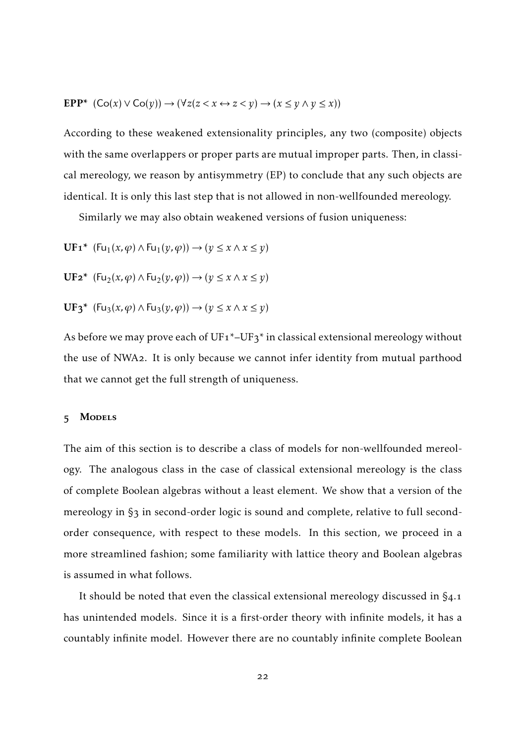$$
EPP^* (Co(x) \lor Co(y)) \to (\forall z(z < x \leftrightarrow z < y) \to (x \le y \land y \le x))
$$

According to these weakened extensionality principles, any two (composite) objects with the same overlappers or proper parts are mutual improper parts. Then, in classical mereology, we reason by antisymmetry (EP) to conclude that any such objects are identical. It is only this last step that is not allowed in non-wellfounded mereology.

Similarly we may also obtain weakened versions of fusion uniqueness:

UF1\*  $(\text{Fu}_1(x, \varphi) \land \text{Fu}_1(y, \varphi)) \to (y \leq x \land x \leq y)$ UF<sub>2</sub><sup>\*</sup>  $(\text{Fu}_2(x, \varphi) \land \text{Fu}_2(y, \varphi)) \to (y \leq x \land x \leq y)$ UF<sub>3</sub><sup>\*</sup> (Fu<sub>3</sub>(*x*,  $\varphi$ )  $\wedge$  Fu<sub>3</sub>(*y*,  $\varphi$ ))  $\rightarrow$  (*y*  $\leq$  *x*  $\wedge$  *x*  $\leq$  *y*)

As before we may prove each of  $UF_1*-UF_3*$  in classical extensional mereology without the use of NWA2. It is only because we cannot infer identity from mutual parthood that we cannot get the full strength of uniqueness.

## 5 MODELS

The aim of this section is to describe a class of models for non-wellfounded mereology. The analogous class in the case of classical extensional mereology is the class of complete Boolean algebras without a least element. We show that a version of the mereology in §3 in second-order logic is sound and complete, relative to full secondorder consequence, with respect to these models. In this section, we proceed in a more streamlined fashion; some familiarity with lattice theory and Boolean algebras is assumed in what follows.

It should be noted that even the classical extensional mereology discussed in  $\S$ 4.1 has unintended models. Since it is a first-order theory with infinite models, it has a countably infinite model. However there are no countably infinite complete Boolean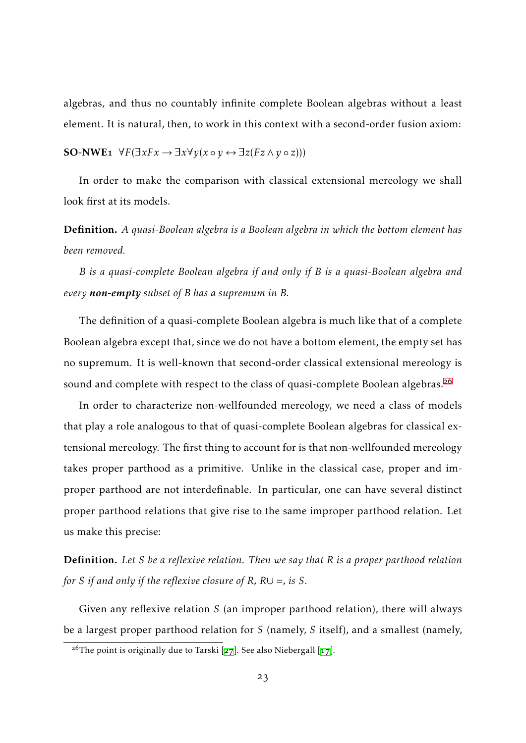algebras, and thus no countably infinite complete Boolean algebras without a least element. It is natural, then, to work in this context with a second-order fusion axiom:

# SO-NWE1  $\forall F(\exists xFx \rightarrow \exists x \forall y(x \circ y \leftrightarrow \exists z(Fz \land y \circ z)))$

In order to make the comparison with classical extensional mereology we shall look first at its models.

Definition. *A quasi-Boolean algebra is a Boolean algebra in which the bottom element has been removed.*

*B is a quasi-complete Boolean algebra if and only if B is a quasi-Boolean algebra and every non-empty subset of B has a supremum in B.*

The definition of a quasi-complete Boolean algebra is much like that of a complete Boolean algebra except that, since we do not have a bottom element, the empty set has no supremum. It is well-known that second-order classical extensional mereology is sound and complete with respect to the class of quasi-complete Boolean algebras.<sup>26</sup>

In order to characterize non-wellfounded mereology, we need a class of models that play a role analogous to that of quasi-complete Boolean algebras for classical extensional mereology. The first thing to account for is that non-wellfounded mereology takes proper parthood as a primitive. Unlike in the classical case, proper and improper parthood are not interdefinable. In particular, one can have several distinct proper parthood relations that give rise to the same improper parthood relation. Let us make this precise:

Definition. *Let S be a reflexive relation. Then we say that R is a proper parthood relation for S if and only if the reflexive closure of R, R*∪ =*, is S.*

Given any reflexive relation *S* (an improper parthood relation), there will always be a largest proper parthood relation for *S* (namely, *S* itself), and a smallest (namely,

<sup>&</sup>lt;sup>26</sup>The point is originally due to Tarski [27]. See also Niebergall [17].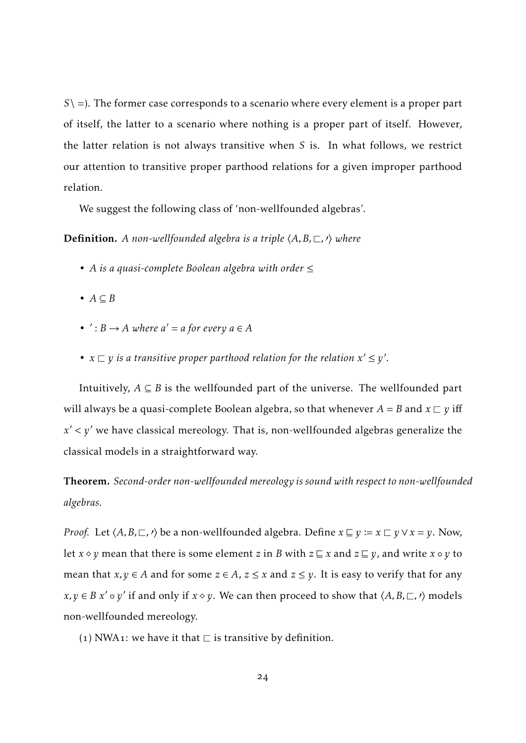$S\setminus I$ . The former case corresponds to a scenario where every element is a proper part of itself, the latter to a scenario where nothing is a proper part of itself. However, the latter relation is not always transitive when *S* is. In what follows, we restrict our attention to transitive proper parthood relations for a given improper parthood relation.

We suggest the following class of 'non-wellfounded algebras'.

**Definition.** *A non-wellfounded algebra is a triple*  $\langle A, B, \sqsubset, \prime \rangle$  *where* 

- *• A is a quasi-complete Boolean algebra with order* ≤
- *• A* ⊆ *B*
- $' : B \rightarrow A$  *where*  $a' = a$  *for every*  $a \in A$
- $x \sqsubset y$  *is a transitive proper parthood relation for the relation*  $x' \leq y'$ *.*

Intuitively,  $A \subseteq B$  is the wellfounded part of the universe. The wellfounded part will always be a quasi-complete Boolean algebra, so that whenever  $A = B$  and  $x \sqsubset y$  iff *x* ′ *< y*′ we have classical mereology. That is, non-wellfounded algebras generalize the classical models in a straightforward way.

Theorem. *Second-order non-wellfounded mereology is sound with respect to non-wellfounded algebras.*

*Proof.* Let  $\langle A, B, \sqsubset, \prime \rangle$  be a non-wellfounded algebra. Define  $x \sqsubseteq y := x \sqsubset y \vee x = y$ . Now, let *x*  $\circ$  *y* mean that there is some element *z* in *B* with  $z \sqsubseteq x$  and  $z \sqsubseteq y$ , and write *x*  $\circ$  *y* to mean that  $x, y \in A$  and for some  $z \in A$ ,  $z \le x$  and  $z \le y$ . It is easy to verify that for any *x*, *y* ∈ *B x'* ∘ *y'* if and only if *x* ◇ *y*. We can then proceed to show that  $\langle A, B, \sqsubset, \prime \rangle$  models non-wellfounded mereology.

(1) NWA1: we have it that  $\sqsubset$  is transitive by definition.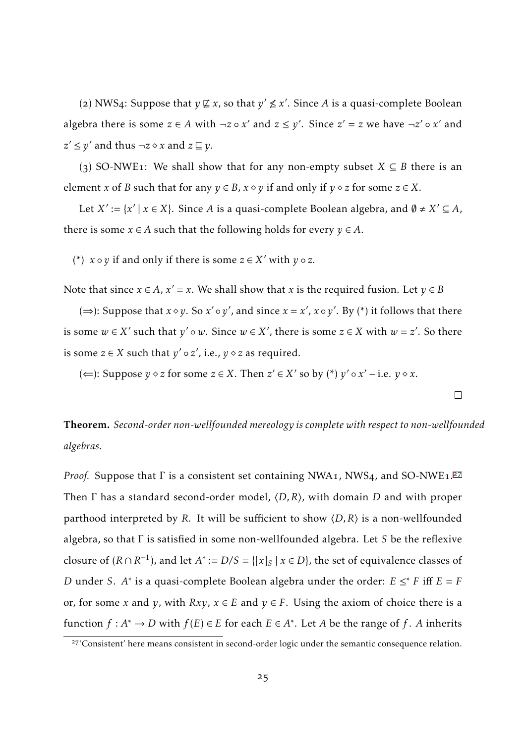(2) NWS4: Suppose that  $y \not\subseteq x$ , so that  $y' \not\leq x'$ . Since *A* is a quasi-complete Boolean algebra there is some  $z \in A$  with  $\neg z \circ x'$  and  $z \leq y'$ . Since  $z' = z$  we have  $\neg z' \circ x'$  and  $z' \leq y'$  and thus  $\neg z \diamond x$  and  $z \sqsubseteq y$ .

(3) SO-NWE1: We shall show that for any non-empty subset  $X \subseteq B$  there is an element *x* of *B* such that for any  $y \in B$ ,  $x \diamond y$  if and only if  $y \diamond z$  for some  $z \in X$ .

Let *X'* := {*x'* | *x*  $\in$  *X*}. Since *A* is a quasi-complete Boolean algebra, and  $\emptyset \neq X' \subseteq A$ , there is some  $x \in A$  such that the following holds for every  $y \in A$ .

(\*)  $x \circ y$  if and only if there is some  $z \in X'$  with  $y \circ z$ .

Note that since  $x \in A$ ,  $x' = x$ . We shall show that  $x$  is the required fusion. Let  $y \in B$ 

(⇒): Suppose that *x* ◇ *y*. So *x'* ◇ *y'*, and since *x* = *x'*, *x* ◇ *y'*. By (\*) it follows that there is some  $w \in X'$  such that  $y' \circ w$ . Since  $w \in X'$ , there is some  $z \in X$  with  $w = z'$ . So there is some  $z \in X$  such that  $y' \circ z'$ , i.e.,  $y \diamond z$  as required.

(←): Suppose  $y \diamond z$  for some  $z \in X$ . Then  $z' \in X'$  so by (\*)  $y' \circ x'$  − i.e.  $y \diamond x$ .

Theorem. *Second-order non-wellfounded mereology is complete with respect to non-wellfounded algebras.*

 $\Box$ 

*Proof.* Suppose that Γ is a consistent set containing NWA1, NWS4, and SO-NWE1.<sup>27</sup> Then Γ has a standard second-order model, ⟨*D,R*⟩, with domain *D* and with proper parthood interpreted by *R*. It will be sufficient to show  $\langle D, R \rangle$  is a non-wellfounded algebra, so that Γ is satisfied in some non-wellfounded algebra. Let *S* be the reflexive closure of  $(R \cap R^{-1})$ , and let  $A^* := D/S = \{ [x]_S \mid x \in D \}$ , the set of equivalence classes of *D* under *S*. *A*<sup>\*</sup> is a quasi-complete Boolean algebra under the order:  $E \leq^* F$  iff  $E = F$ or, for some *x* and *y*, with  $Rxy$ ,  $x \in E$  and  $y \in F$ . Using the axiom of choice there is a function  $f : A^* \to D$  with  $f(E) \in E$  for each  $E \in A^*$ . Let *A* be the range of *f*. *A* inherits

<sup>&</sup>lt;sup>27</sup>'Consistent' here means consistent in second-order logic under the semantic consequence relation.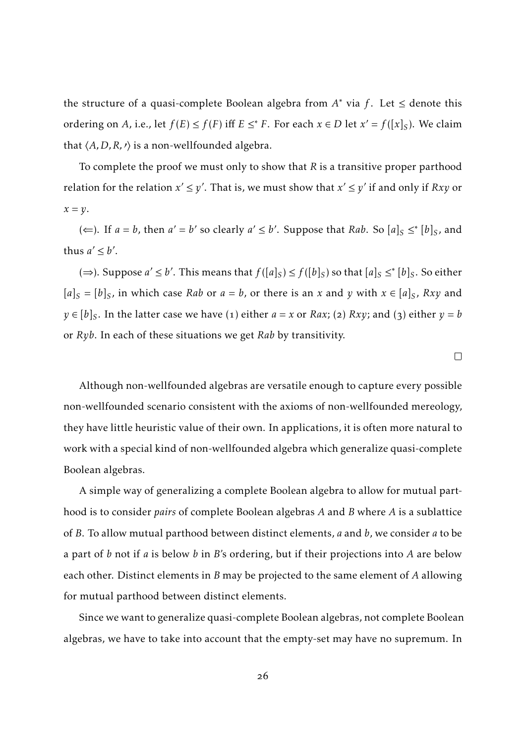the structure of a quasi-complete Boolean algebra from  $A^*$  via  $f$ . Let  $\leq$  denote this ordering on *A*, i.e., let  $f(E) \le f(F)$  iff  $E \le^* F$ . For each  $x \in D$  let  $x' = f([x]_S)$ . We claim that  $\langle A, D, R, \prime \rangle$  is a non-wellfounded algebra.

To complete the proof we must only to show that *R* is a transitive proper parthood relation for the relation  $x' \leq y'$ . That is, we must show that  $x' \leq y'$  if and only if *Rxy* or  $x = y$ .

(←). If *a* = *b*, then *a*' = *b*' so clearly *a*' ≤ *b*'. Suppose that *Rab*. So  $[a]_S \leq^* [b]_S$ , and thus  $a' \leq b'$ .

(⇒). Suppose *a'* ≤ *b'*. This means that  $f([a]_S)$  ≤  $f([b]_S)$  so that  $[a]_S$  ≤<sup>\*</sup>  $[b]_S$ . So either  $[a]_S = [b]_S$ , in which case *Rab* or  $a = b$ , or there is an *x* and *y* with  $x \in [a]_S$ , *Rxy* and  $y \in [b]_S$ . In the latter case we have (1) either  $a = x$  or *Rax*; (2) *Rxy*; and (3) either  $y = b$ or *Ryb*. In each of these situations we get *Rab* by transitivity.

 $\Box$ 

Although non-wellfounded algebras are versatile enough to capture every possible non-wellfounded scenario consistent with the axioms of non-wellfounded mereology, they have little heuristic value of their own. In applications, it is often more natural to work with a special kind of non-wellfounded algebra which generalize quasi-complete Boolean algebras.

A simple way of generalizing a complete Boolean algebra to allow for mutual parthood is to consider *pairs* of complete Boolean algebras *A* and *B* where *A* is a sublattice of *B*. To allow mutual parthood between distinct elements, *a* and *b*, we consider *a* to be a part of *b* not if *a* is below *b* in *B*'s ordering, but if their projections into *A* are below each other. Distinct elements in *B* may be projected to the same element of *A* allowing for mutual parthood between distinct elements.

Since we want to generalize quasi-complete Boolean algebras, not complete Boolean algebras, we have to take into account that the empty-set may have no supremum. In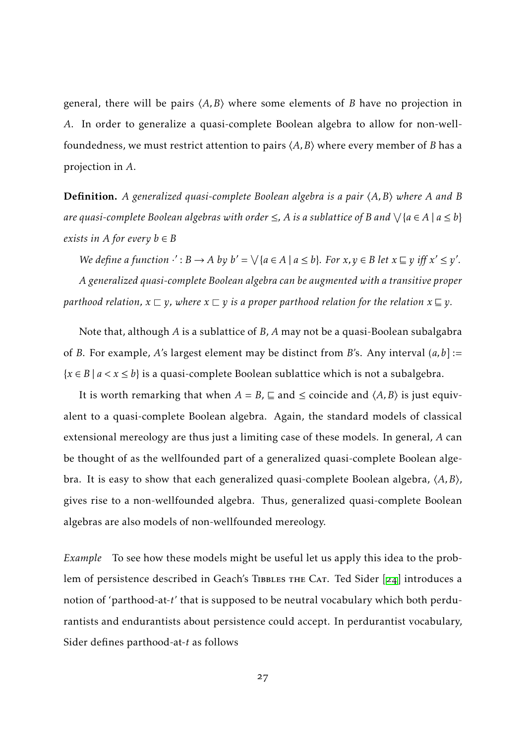general, there will be pairs ⟨*A,B*⟩ where some elements of *B* have no projection in *A*. In order to generalize a quasi-complete Boolean algebra to allow for non-wellfoundedness, we must restrict attention to pairs ⟨*A,B*⟩ where every member of *B* has a projection in *A*.

Definition. *A generalized quasi-complete Boolean algebra is a pair* ⟨*A,B*⟩ *where A and B are quasi-complete Boolean algebras with order* ≤*, A is a sublattice of B and* ∨ {*a* ∈ *A* | *a* ≤ *b*} *exists in A for every*  $b \in B$ 

We define a function  $\cdot' : B \to A$  by  $b' = \bigvee \{a \in A \mid a \leq b\}$ . For  $x, y \in B$  let  $x \sqsubseteq y$  iff  $x' \leq y'$ . *A generalized quasi-complete Boolean algebra can be augmented with a transitive proper parthood relation,*  $x \sqsubset y$ *, where*  $x \sqsubset y$  *is a proper parthood relation for the relation*  $x \sqsubseteq y$ *.* 

Note that, although *A* is a sublattice of *B*, *A* may not be a quasi-Boolean subalgabra of *B*. For example, *A*'s largest element may be distinct from *B*'s. Any interval (*a,b*] := {*x* ∈ *B* | *a < x* ≤ *b*} is a quasi-complete Boolean sublattice which is not a subalgebra.

It is worth remarking that when  $A = B$ ,  $\sqsubseteq$  and  $\le$  coincide and  $\langle A, B \rangle$  is just equivalent to a quasi-complete Boolean algebra. Again, the standard models of classical extensional mereology are thus just a limiting case of these models. In general, *A* can be thought of as the wellfounded part of a generalized quasi-complete Boolean algebra. It is easy to show that each generalized quasi-complete Boolean algebra, ⟨*A,B*⟩, gives rise to a non-wellfounded algebra. Thus, generalized quasi-complete Boolean algebras are also models of non-wellfounded mereology.

*Example* To see how these models might be useful let us apply this idea to the problem of persistence described in Geach's TIBBLES THE CAT. Ted Sider  $[24]$  introduces a notion of 'parthood-at-*t*' that is supposed to be neutral vocabulary which both perdurantists and endurantists about persistence could accept. In perdura[nti](#page-30-6)st vocabulary, Sider defines parthood-at-*t* as follows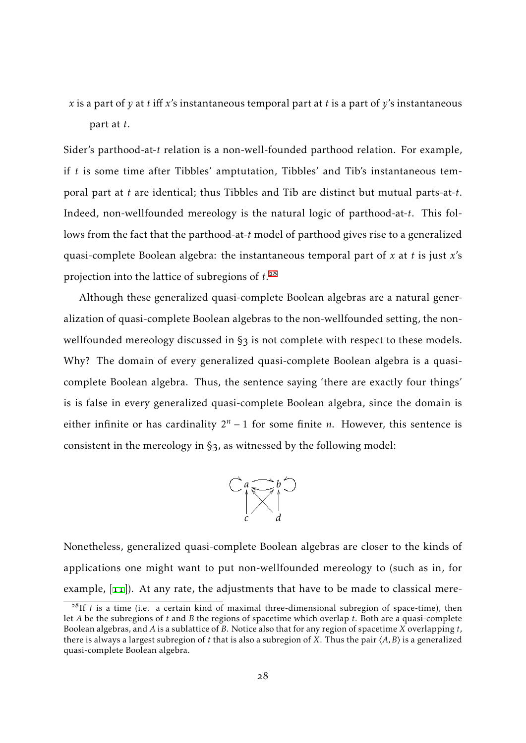*x* is a part of *y* at *t* iff *x*'s instantaneous temporal part at *t* is a part of *y*'s instantaneous part at *t*.

Sider's parthood-at-*t* relation is a non-well-founded parthood relation. For example, if *t* is some time after Tibbles' amptutation, Tibbles' and Tib's instantaneous temporal part at *t* are identical; thus Tibbles and Tib are distinct but mutual parts-at-*t*. Indeed, non-wellfounded mereology is the natural logic of parthood-at-*t*. This follows from the fact that the parthood-at-*t* model of parthood gives rise to a generalized quasi-complete Boolean algebra: the instantaneous temporal part of *x* at *t* is just *x*'s projection into the lattice of subregions of *t*.

Although these generalized quasi-complete Boolean algebras are a natural generalization of quasi-complete Boolean algebras to the non-wellfounded setting, the nonwellfounded mereology discussed in §3 is not complete with respect to these models. Why? The domain of every generalized quasi-complete Boolean algebra is a quasicomplete Boolean algebra. Thus, the sentence saying 'there are exactly four things' is is false in every generalized quasi-complete Boolean algebra, since the domain is either infinite or has cardinality  $2<sup>n</sup> - 1$  for some finite *n*. However, this sentence is consistent in the mereology in  $\S$ 3, as witnessed by the following model:



Nonetheless, generalized quasi-complete Boolean algebras are closer to the kinds of applications one might want to put non-wellfounded mereology to (such as in, for example,  $[11]$ . At any rate, the adjustments that have to be made to classical mere-

 $2^{8}$ If *t* is a time (i.e. a certain kind of maximal three-dimensional subregion of space-time), then let *A* be the subregions of *t* and *B* the regions of spacetime which overlap *t*. Both are a quasi-complete Boolean alge[bra](#page-29-2)s, and *A* is a sublattice of *B*. Notice also that for any region of spacetime *X* overlapping *t*, there is always a largest subregion of *t* that is also a subregion of *X*. Thus the pair ⟨*A,B*⟩ is a generalized quasi-complete Boolean algebra.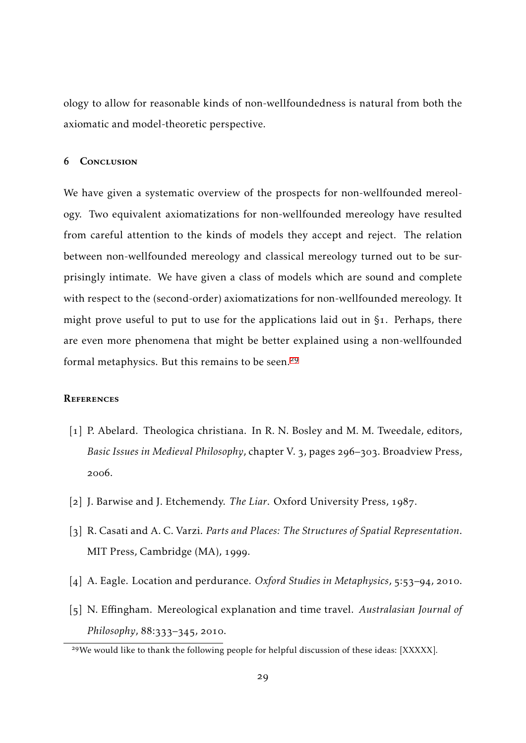ology to allow for reasonable kinds of non-wellfoundedness is natural from both the axiomatic and model-theoretic perspective.

# **6** CONCLUSION

We have given a systematic overview of the prospects for non-wellfounded mereology. Two equivalent axiomatizations for non-wellfounded mereology have resulted from careful attention to the kinds of models they accept and reject. The relation between non-wellfounded mereology and classical mereology turned out to be surprisingly intimate. We have given a class of models which are sound and complete with respect to the (second-order) axiomatizations for non-wellfounded mereology. It might prove useful to put to use for the applications laid out in  $\S_1$ . Perhaps, there are even more phenomena that might be better explained using a non-wellfounded formal metaphysics. But this remains to be seen.

## **REFERENCES**

- <span id="page-28-0"></span>[1] P. Abelard. Theologica christiana. In R. N. Bosley and M. M. Tweedale, editors, *Basic Issues in Medieval Philosophy*, chapter V. 3, pages 296–303. Broadview Press, 2006.
- [2] J. Barwise and J. Etchemendy. *The Liar*. Oxford University Press, 1987.
- <span id="page-28-2"></span>[3] R. Casati and A. C. Varzi. *Parts and Places: The Structures of Spatial Representation*. MIT Press, Cambridge (MA), 1999.
- [4] A. Eagle. Location and perdurance. *Oxford Studies in Metaphysics*, 5:53-94, 2010.
- [5] N. Effingham. Mereological explanation and time travel. *Australasian Journal of Philosophy*, 88:333-345, 2010.

<span id="page-28-1"></span><sup>&</sup>lt;sup>29</sup>We would like to thank the following people for helpful discussion of these ideas: [XXXXX].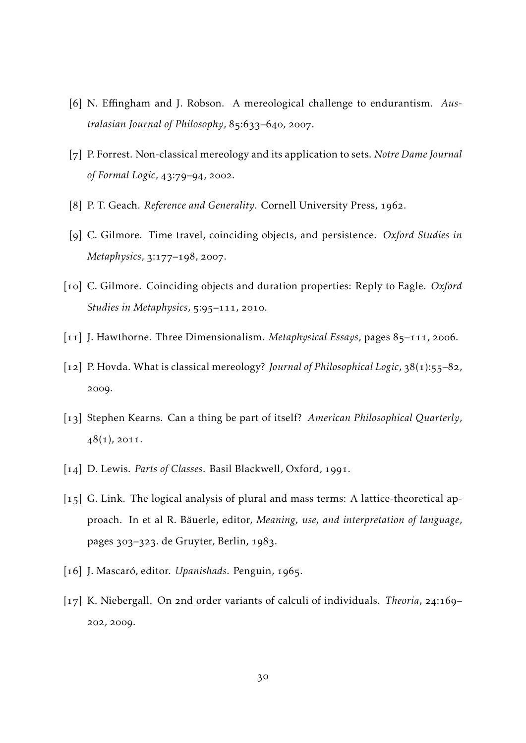- [6] N. Effingham and J. Robson. A mereological challenge to endurantism. Aus*tralasian Journal of Philosophy*, 85:633-640, 2007.
- [7] P. Forrest. Non-classical mereology and its application to sets. *Notre Dame Journal of Formal Logic*, 43:79-94, 2002.
- [8] P. T. Geach. *Reference and Generality*. Cornell University Press, 1962.
- [9] C. Gilmore. Time travel, coinciding objects, and persistence. *Oxford Studies in Metaphysics*, 3:177-198, 2007.
- [10] C. Gilmore. Coinciding objects and duration properties: Reply to Eagle. *Oxford Studies in Metaphysics*, 5:95-111, 2010.
- <span id="page-29-2"></span>[11] J. Hawthorne. Three Dimensionalism. *Metaphysical Essays*, pages 85-111, 2006.
- [12] P. Hovda. What is classical mereology? *Journal of Philosophical Logic*, 38(1):55-82, 2009.
- <span id="page-29-0"></span>[13] Stephen Kearns. Can a thing be part of itself? *American Philosophical Quarterly*,  $48(1), 2011.$
- <span id="page-29-1"></span>[14] D. Lewis. *Parts of Classes*. Basil Blackwell, Oxford, 1991.
- $\lceil 15 \rceil$  G. Link. The logical analysis of plural and mass terms: A lattice-theoretical approach. In et al R. Bäuerle, editor, *Meaning*, use, and interpretation of language, pages 303-323. de Gruyter, Berlin, 1983.
- [16] J. Mascaró, editor. Upanishads. Penguin, 1965.
- $\lceil 17 \rceil$  K. Niebergall. On 2nd order variants of calculi of individuals. *Theoria*, 24:169– 202, 2009.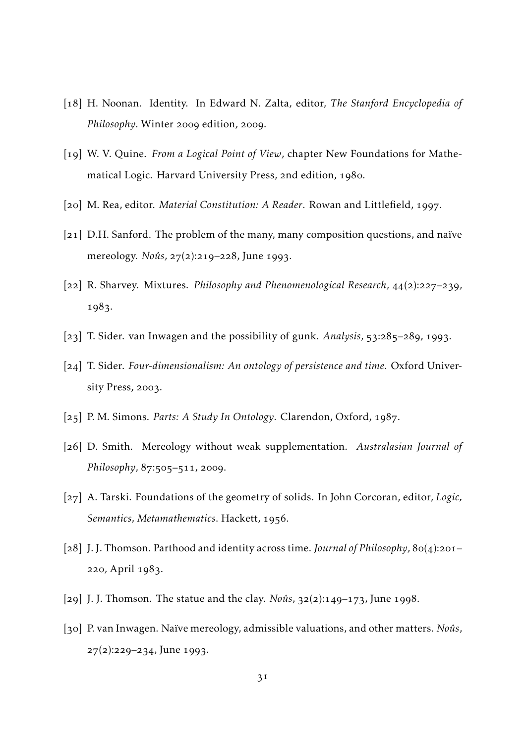- <span id="page-30-4"></span>[18] H. Noonan. Identity. In Edward N. Zalta, editor, *The Stanford Encyclopedia of* Philosophy. Winter 2009 edition, 2009.
- [19] W. V. Quine. *From a Logical Point of View*, chapter New Foundations for Mathematical Logic. Harvard University Press, 2nd edition, 1980.
- <span id="page-30-5"></span><span id="page-30-1"></span>[20] M. Rea, editor. *Material Constitution: A Reader*. Rowan and Littlefield, 1997.
- [ $21$ ] D.H. Sanford. The problem of the many, many composition questions, and naïve mereology. *Noûs*, 27(2):219–228, June 1993.
- [22] R. Sharvey. Mixtures. *Philosophy and Phenomenological Research*, 44(2):227–239, 1983.
- [23] T. Sider. van Inwagen and the possibility of gunk.  $Analysis, 53:285-289, 1993$ .
- <span id="page-30-6"></span>[24] T. Sider. *Four-dimensionalism: An ontology of persistence and time*. Oxford University Press, 2003.
- <span id="page-30-0"></span>[25] P. M. Simons. *Parts: A Study In Ontology*. Clarendon, Oxford, 1987.
- [26] D. Smith. Mereology without weak supplementation. Australasian Journal of *Philosophy*, 87:505-511, 2009.
- [27] A. Tarski. Foundations of the geometry of solids. In John Corcoran, editor, *Logic*, *Semantics, Metamathematics. Hackett, 1956.*
- [28] J. J. Thomson. Parthood and identity across time. *Journal of Philosophy*, 80(4):201– 220, April 1983.
- <span id="page-30-3"></span><span id="page-30-2"></span>[29] J. J. Thomson. The statue and the clay. *Noûs*, 32(2):149–173, June 1998.
- [30] P. van Inwagen. Naïve mereology, admissible valuations, and other matters. *Noûs*,  $27(2):229-234$ , June 1993.